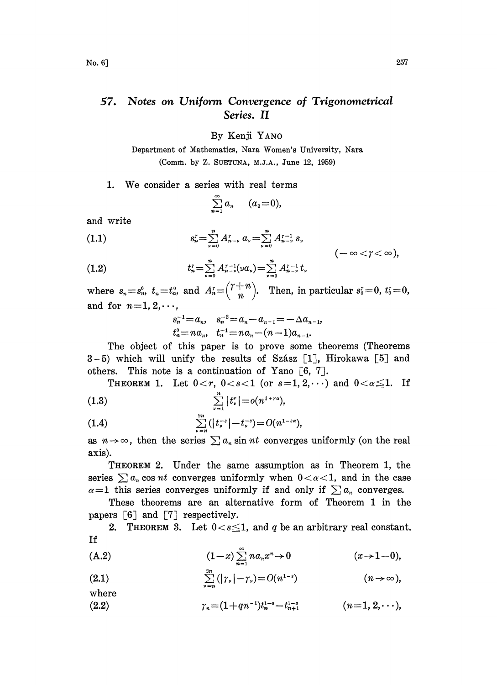## Notes on Uniform Convergence of Trigonometrical 57. Series. II

By Kenji YANO

Department of Mathematics, Nara Women's University, Nara (Comm. by Z. SUETUNA, M.J.A., June 12, 1959)

## 1. We consider <sup>a</sup> series with real terms

$$
\sum_{n=1}^{\infty} a_n \qquad (a_0=0),
$$

and write

(1.1) 
$$
s_n^r = \sum_{\nu=0}^n A_{n-\nu}^r \ a_\nu = \sum_{\nu=0}^n A_{n-\nu}^{r-1} \ s_\nu \qquad \qquad (-\infty < \gamma < \infty),
$$

(1.2) 
$$
t_n^r = \sum_{\nu=0}^n A_{n-\nu}^{r-1}(\nu a_{\nu}) = \sum_{\nu=0}^n A_{n-\nu}^{r-1} t,
$$

where  $s_n = s_n^0$ ,  $t_n = t_n^0$ , and  $A_n^r = \binom{r+n}{n}$ . Then, in particular  $s_0^r = 0$ ,  $t_0^r = 0$ , and for  $n=1, 2, \dots$ ,

$$
s_n^{-1} = a_n, \quad s_n^{-2} = a_n - a_{n-1} = -\Delta a_{n-1},
$$
  
\n $t_n^0 = na_n, \quad t_n^{-1} = na_n - (n-1)a_{n-1}.$ 

The object of this paper is to prove some theorems (Theorems 3-5) which will unify the results of Szász [1], Hirokawa [5] and others. This note is a continuation of Yano  $[6, 7]$ .

THEOREM 1. Let  $0 < r$ ,  $0 < s < 1$  (or  $s=1, 2, \dots$ ) and  $0 < \alpha \leq 1$ . If (1.3)  $\sum_{\nu=1}^{n} |t_{\nu}^{r}| = o(n^{1+r\alpha}),$ 

(1.4) 
$$
\sum_{\nu=n}^{2n} (|t_{\nu}^{-s}| - t_{\nu}^{-s}) = O(n^{1-s\alpha}),
$$

as  $n \rightarrow \infty$ , then the series  $\sum a_n \sin nt$  converges uniformly (on the real axis).

THEOREM 2. Under the same assumption as in Theorem 1, the series  $\sum a_n \cos nt$  converges uniformly when  $0 < \alpha < 1$ , and in the case  $\alpha=1$  this series converges uniformly if and only if  $\sum a_n$  converges.

These theorems are an alternative form of Theorem 1 in the papers  $[6]$  and  $[7]$  respectively.

2. THEOREM 3. Let  $0 < s \leq 1$ , and q be an arbitrary real constant. If

(A.2) 
$$
(1-x)\sum_{n=1}^{\infty}na_nx^n \to 0
$$
  $(x \to 1-0),$ 

(2.1) 
$$
\sum_{\nu=n}^{2n} (|\gamma_{\nu}| - \gamma_{\nu}) = O(n^{1-s}) \qquad (n \to \infty),
$$

where

(9..2) (n-- 1, 2,...),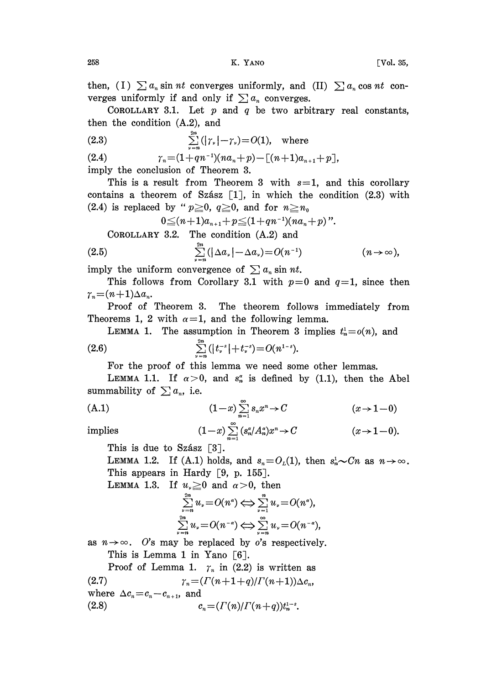then, (I)  $\sum a_n \sin nt$  converges uniformly, and (II)  $\sum a_n \cos nt$  converges uniformly if and only if  $\sum a_n$  converges.

COROLLARY 3.1. Let  $p$  and  $q$  be two arbitrary real constants, then the condition (A.2), and

(2.3) 
$$
\sum_{\nu=n}^{2n} (|\gamma_{\nu}| - \gamma_{\nu}) = O(1), \text{ where}
$$

(2.4)  $\gamma_n = (1+qn^{-1})(na_n+p) - \lceil (n+1)a_{n+1}+p \rceil,$ imply the conclusion of Theorem 3.

This is a result from Theorem 3 with  $s=1$ , and this corollary contains a theorem of Szász  $[1]$ , in which the condition  $(2.3)$  with (2.4) is replaced by " $p \ge 0$ ,  $q \ge 0$ , and for  $n \ge n_0$ 

$$
0 \leq (n+1)a_{n+1} + p \leq (1+qn^{-1})(na_n+p)''.
$$

COROLLARY 3.2. The condition (A.2) and

$$
(2.5) \qquad \qquad \sum_{\nu=n}^{2n} (|\Delta a_{\nu}| - \Delta a_{\nu}) = O(n^{-1}) \qquad \qquad (n \to \infty),
$$

imply the uniform convergence of  $\sum a_n \sin nt$ .

This follows from Corollary 3.1 with  $p=0$  and  $q=1$ , since then  $\gamma_n = (n+1)\Delta a_n$ .

Proof of Theorem 3. The theorem follows immediately from Theorems 1, 2 with  $\alpha=1$ , and the following lemma.

LEMMA 1. The assumption in Theorem 3 implies  $t_n^1 = o(n)$ , and

(2.6) 
$$
\sum_{\nu=n}^{2n} (|t_{\nu}^{-s}|+t_{\nu}^{-s}) = O(n^{1-s}).
$$

For the proof of this lemma we need some other lemmas.

LEMMA 1.1. If  $\alpha>0$ , and  $s_n^{\alpha}$  is defined by (1.1), then the Abel summability of  $\sum a_n$ , i.e.

(A.1)  
\n
$$
(1-x)\sum_{n=1}^{\infty} s_n x^n \to C \qquad (x \to 1-0)
$$
\nimplies  
\n
$$
(1-x)\sum_{n=1}^{\infty} (s_n^{\alpha}/A_n^{\alpha})x^n \to C \qquad (x \to 1-0)
$$

implies 
$$
(1-x)\sum_{n=1}^{\infty} (s_n^{\alpha}/A_n^{\alpha})x^n \to C \qquad (x \to 1-0).
$$

This is due to Szász  $[3]$ .

LEMMA 1.2. If (A.1) holds, and  $s_n = O_L(1)$ , then  $s_n^1 \sim Cn$  as  $n \to \infty$ . This appears in Hardy  $[9, p. 155]$ .

**LEMMA 1.3.** If  $u_{\nu} \ge 0$  and  $\alpha > 0$ , then

$$
\sum_{\nu=n}^{2n} u_{\nu} = O(n^{\alpha}) \Leftrightarrow \sum_{\nu=1}^{n} u_{\nu} = O(n^{\alpha}),
$$
  

$$
\sum_{\nu=n}^{2n} u_{\nu} = O(n^{-\alpha}) \Leftrightarrow \sum_{\nu=n}^{\infty} u_{\nu} = O(n^{-\alpha}),
$$
  
' be replaced by o's respectively;  
1 in Yano [6].

as  $n \rightarrow \infty$ . O's may be replaced by o's respectively.

This is Lemma 1 in Yano  $\lceil 6 \rceil$ .

Proof of Lemma 1.  $\gamma_n$  in (2.2) is written as<br> $\gamma_n = ( \Gamma(n+1+a) / \Gamma(n+1) ) \wedge c$ 

(2.7)  $\gamma_n = (\Gamma(n+1+q)/\Gamma(n+1))\Delta c_n,$ where  $\Delta c_n = c_n - c_{n+1}$ , and (2.8)  $c_n = (\Gamma(n)/\Gamma(n+q))t_n^{1-s}.$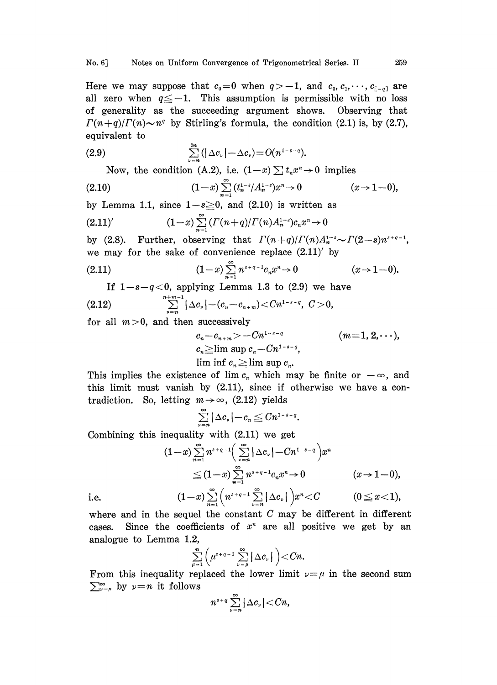Here we may suppose that  $c_0=0$  when  $q>-1$ , and  $c_0, c_1, \dots, c_{[-q]}$  are all zero when  $q \leq -1$ . This assumption is permissible with no loss of generality as the succeeding argument shows. Observing that  $\Gamma(n+q)/\Gamma(n) \sim n^q$  by Stirling's formula, the condition (2.1) is, by (2.7), equivalent to

$$
(2.9) \qquad \qquad \sum_{\nu=n}^{2n} (|\Delta c_{\nu}| - \Delta c_{\nu}) = O(n^{1-s-q}).
$$

Now, the condition (A.2), i.e.  $(1-x) \sum t_n x^n \to 0$  implies

(2.10) 
$$
(1-x)\sum_{n=1}^{\infty} (t_n^{1-s}/A_n^{1-s})x^n \to 0 \qquad (x \to 1-0),
$$

by Lemma 1.1, since  $1-s \geq 0$ , and (2.10) is written as

$$
(2.11)'\qquad \qquad (1-x)\sum_{n=1}^{\infty}( \Gamma(n+q)/\Gamma(n)A_n^{1-s})c_nx^n\to 0
$$

by (2.8). Further, observing that  $\Gamma(n+q)/\Gamma(n)A_n^{1-s} \sim \Gamma(2-s)n^{s+q-1}$ , we may for the sake of convenience replace  $(2.11)'$  by

(2.11) 
$$
(1-x)\sum_{n=1}^{\infty} n^{s+\alpha-1}c_nx^n \to 0 \qquad (x \to 1-0).
$$

If  $1-s-q<0$ , applying Lemma 1.3 to (2.9) we have

$$
(2.12) \qquad \qquad \sum_{\nu=n}^{n+m-1}|\Delta c_{\nu}|-(c_n-c_{n+m})\!<\!Cn^{1-s-q}, \ \ C>0,
$$

for all  $m>0$ , and then successively

$$
c_n-c_{n+m} > -Cn^{1-s-q}
$$
 (*m*=1, 2, · · ·),  
\n
$$
c_n \geq \limsup c_n - Cn^{1-s-q}
$$
,  
\n
$$
\liminf c_n \geq \limsup c_n
$$
.

This implies the existence of lim  $c_n$  which may be finite or  $-\infty$ , and this limit must vanish by (2.11), since if otherwise we have a contradiction. So, letting  $m \rightarrow \infty$ , (2.12) yields

$$
\sum_{\nu=n}^{\infty}|\Delta c_{\nu}|-c_n\leq Cn^{1-s-q}.
$$

Combining this inequality with (2.11) we get

$$
(1-x)\sum_{n=1}^{\infty}n^{s+q-1}\left(\sum_{\nu=n}^{\infty}|\Delta c_{\nu}|-Cn^{1-s-q}\right)x^{n} \leq (1-x)\sum_{n=1}^{\infty}n^{s+q-1}c_{n}x^{n}\to 0 \qquad (x\to 1-0),
$$
  

$$
(1-x)\sum_{n=1}^{\infty}\left(n^{s+q-1}\sum_{\nu=n}^{\infty}|\Delta c_{\nu}|\right)x^{n}
$$

i.e.

where and in the sequel the constant  $C$  may be different in different cases. Since the coefficients of  $x^n$  are all positive we get by an analogue to Lemma 1.2,

$$
\sum_{\mu=1}^n \left( \mu^{s+q-1} \sum_{\nu=\mu}^\infty |\Delta c_\nu| \right) < Cn.
$$

From this inequality rep<br>  $\sum_{\nu=\mu}^{\infty}$  by  $\nu=n$  it follows From this inequality replaced the lower limit  $\nu = \mu$  in the second sum

$$
n^{s+q}\sum_{\nu=n}^{\infty}|\Delta c_{\nu}|
$$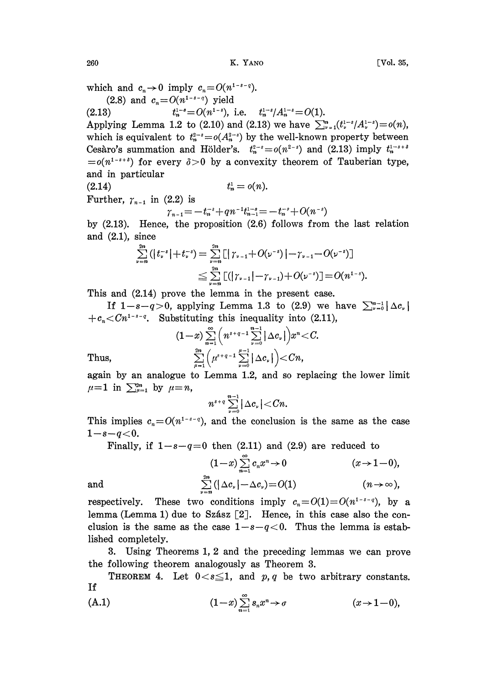which and  $c_n \to 0$  imply  $c_n = O(n^{1-s-q})$ .

(2.8) and  $c_n = O(n^{1-s-q})$  yield

(2.13)  $t_n^{1-s} = O(n^{1-s}), \text{ i.e. } t_n^{1-s}/A_n^{1-s} = O(1).$ 

Applying Lemma 1.2 to (2.10) and (2.13) we have  $\sum_{\nu=1}^n (t_{\nu}^{1-s}/A_{\nu}^{1-s}) = o(n)$ , which is equivalent to  $t_n^{2-s} = o(A_n^{2-s})$  by the well-known property between Cesàro's summation and Hölder's.  $t_n^{2-s} = o(n^{2-s})$  and (2.13) imply  $t_n^{1-s+s} = o(n^{1-s+s})$  for every  $\delta > 0$  by a convexity theorem of Tauberian type, and in particular

 $(2.14)$ Further,  $\gamma_{n-1}$  in (2.2) is

 $t_n^* = o(n).$ <br>
2.2) is<br>  $\gamma_{n-1} = -t_n^{-s} + qn^{-1}t_{n-1}^{1-s} = -t_n^{-s} + O(n^{-s})$ <br>
5. the proposition (2.6) follows from

by (2.13). Hence, the proposition (2.6) follows from the last relation and  $(2.1)$ , since

$$
\sum_{\nu=n}^{2n} (|t_{\nu}^{-s}| + t_{\nu}^{-s}) = \sum_{\nu=n}^{2n} [|\gamma_{\nu-1} + O(\nu^{-s})| - \gamma_{\nu-1} - O(\nu^{-s})]
$$
  

$$
\leq \sum_{\nu=n}^{2n} [(|\gamma_{\nu-1}| - \gamma_{\nu-1}) + O(\nu^{-s})] = O(n^{1-s}).
$$

This and (2.14) prove the lemma in the present case.

If  $1-s-q>0$ , applying Lemma 1.3 to (2.9) we have  $\sum_{\nu=0}^{n-1} |\Delta c_{\nu}|$  $+c_n < Cn^{1-s-q}$ . Substituting this inequality into (2.11),

Thus,  
\n
$$
(1-x)\sum_{n=1}^{\infty} \left(n^{s+q-1}\sum_{\nu=0}^{n-1}|\Delta c_{\nu}|\right)x^{\nu} < C.
$$
\n
$$
\sum_{\mu=1}^{2n} \left(\mu^{s+q-1}\sum_{\nu=0}^{\mu-1}|\Delta c_{\nu}|\right) < Cn,
$$

again by an analogue to Lemma 1.2, and so replacing the lower limit  $\mu=1$  in  $\sum_{\mu=1}^{2n}$  by  $\mu=n$ ,

$$
n^{s+q}\sum_{\nu=0}^{n-1}|\Delta c_{\nu}|
$$

This implies  $c_n=O(n^{1-s-q})$ , and the conclusion is the same as the case  $1-s-q<0.$ 

Finally, if  $1-s-q=0$  then (2.11) and (2.9) are reduced to

$$
(1-x)\sum_{n=1}^{\infty}c_nx^n\to 0 \qquad (x\to 1-0),
$$
  
and  

$$
\sum_{\nu=n}^{2n}(|\Delta c_{\nu}|-\Delta c_{\nu})=O(1) \qquad (n\to\infty),
$$

respectively. These two conditions imply  $c_n=O(1)=O(n^{1-s-q})$ , by a lemma (Lemma 1) due to Szász  $[2]$ . Hence, in this case also the conclusion is the same as the case  $1-s-q<0$ . Thus the lemma is established completely.

3. Using Theorems 1, 2 and the preceding lemmas we can prove the following theorem analogously as Theorem 3.

THEOREM 4. Let  $0 < s \leq 1$ , and p, q be two arbitrary constants. If

$$
(A.1) \qquad \qquad (1-x)\sum_{n=1}^{\infty} s_n x^n \to \sigma \qquad \qquad (x \to 1-0),
$$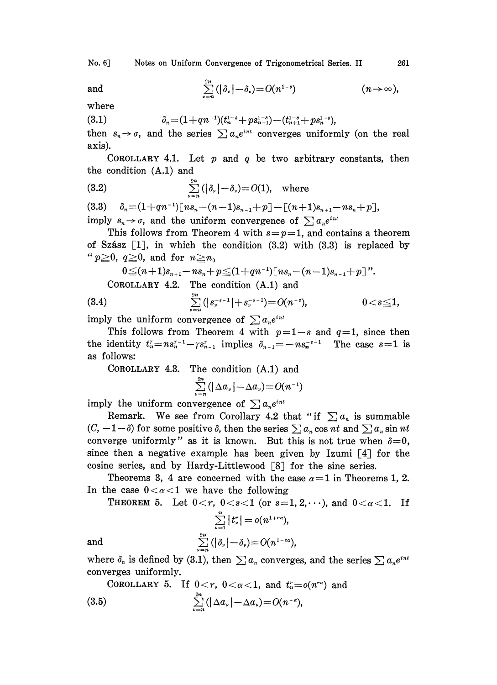No. 6] Notes on Uniform Convergence of Trigonometrical Series. II 261

and 
$$
\sum_{\nu=n}^{2n} (|\delta_{\nu}| - \delta_{\nu}) = O(n^{1-s}) \qquad (n \to \infty),
$$

where

(3.1) (1 +qn- )(tl

 $+ \, ps_{n-1}^{1-s}) - (t_{n+1}^{1-s} + ps_n^{1-s}),$ <br>  $e^{int}$  converges uniform then  $s_n \to \sigma$ , and the series  $\sum a_n e^{int}$  converges uniformly (on the real axis).

COROLLARY 4.1. Let  $p$  and  $q$  be two arbitrary constants, then the condition (A.1) and

(3.2) 
$$
\sum_{\nu=n}^{2n} (|\delta_{\nu}| - \delta_{\nu}) = O(1), \text{ where}
$$

(3.3)  $\delta_n = (1+qn^{-1})[ns_n-(n-1)s_{n-1}+p] - [(n+1)s_{n+1}-ns_n+p],$ imply  $s_n \to \sigma$ , and the uniform convergence of  $\sum a_n e^{i n t}$ 

This follows from Theorem 4 with  $s=p=1$ , and contains a theorem of Szász  $[1]$ , in which the condition  $(3.2)$  with  $(3.3)$  is replaced by " $p\geq 0$ ,  $q\geq 0$ , and for  $n\geq n_0$ 

$$
0 \leq (n+1)s_{n+1} - ns_n + p \leq (1+qn^{-1})[ns_n - (n-1)s_{n-1} + p]''.
$$
  
COROLLARY 4.2. The condition (A.1) and

(3.4) 
$$
\sum_{\nu=n}^{2n} (|s_{\nu}^{-s-1}| + s_{\nu}^{-s-1}) = O(n^{-s}), \qquad 0 < s \leq 1,
$$

imply the uniform convergence of  $\sum a_n e^{int}$ 

This follows from Theorem 4 with  $p=1-s$  and  $q=1$ , since then the identity  $t_n^r = ns_n^{r-1} - \gamma s_{n-1}^r$  implies  $\delta_{n-1} = -ns_n^{-s-1}$  The case  $s=1$  is as follows: as follows:

COROLLARY 4.3. The condition (A.1) and

$$
\sum_{\nu=n}^{2n}(|\Delta a_{\nu}|-\Delta a_{\nu})=O(n^{-1})
$$

imply the uniform convergence of  $\sum a_n e^{int}$ 

Remark. We see from Corollary 4.2 that "if  $\sum a_n$  is summable  $(C, -1-\delta)$  for some positive  $\delta$ , then the series  $\sum a_n \cos nt$  and  $\sum a_n \sin nt$ converge uniformly" as it is known. But this is not true when  $\delta = 0$ , since then a negative example has been given by Izumi  $[4]$  for the cosine series, and by Hardy-Littlewood  $\lceil 8 \rceil$  for the sine series.

Theorems 3, 4 are concerned with the case  $\alpha=1$  in Theorems 1, 2. In the case  $0 < \alpha < 1$  we have the following

THEOREM 5. Let  $0 < r$ ,  $0 < s < 1$  (or  $s=1, 2, \dots$ ), and  $0 < \alpha < 1$ . If

$$
\sum_{\nu=1}^{\infty} |t_{\nu}^{r}| = o(n^{1+ra}),
$$
  
and  

$$
\sum_{\nu=n}^{2n} (|\delta_{\nu}| - \delta_{\nu}) = O(n^{1-sa}),
$$

where  $\delta_n$  is defined by (3.1), then  $\sum a_n$  converges, and the series  $\sum a_n e^{int}$ converges uniformly.

COROLLARY 5. If 
$$
0 < r
$$
,  $0 < \alpha < 1$ , and  $t_n^r = o(n^{r\alpha})$  and (3.5)  $\sum_{\nu=n}^{2n} (\vert \Delta a_{\nu} \vert - \Delta a_{\nu}) = O(n^{-\alpha}),$